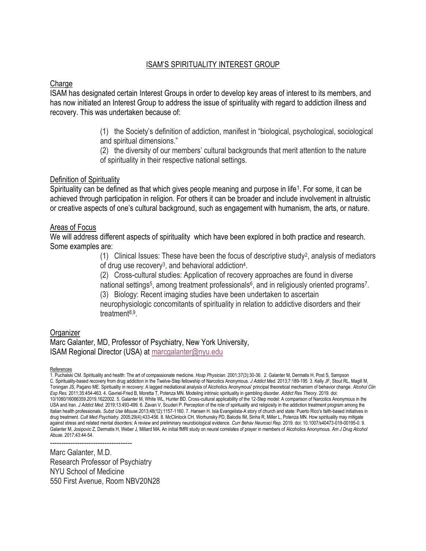# ISAM'S SPIRITUALITY INTEREST GROUP

### **Charge**

ISAM has designated certain Interest Groups in order to develop key areas of interest to its members, and has now initiated an Interest Group to address the issue of spirituality with regard to addiction illness and recovery. This was undertaken because of:

- (1) the Society's definition of addiction, manifest in "biological, psychological, sociological and spiritual dimensions."
- (2) the diversity of our members' cultural backgrounds that merit attention to the nature of spirituality in their respective national settings.

#### Definition of Spirituality

Spirituality can be defined as that which gives people meaning and purpose in life<sup>1</sup>. For some, it can be achieved through participation in religion. For others it can be broader and include involvement in altruistic or creative aspects of one's cultural background, such as engagement with humanism, the arts, or nature.

### Areas of Focus

We will address different aspects of spirituality which have been explored in both practice and research. Some examples are:

> (1) Clinical Issues: These have been the focus of descriptive study<sup>2</sup> , analysis of mediators of drug use recovery<sup>3</sup>, and behavioral addiction<sup>4</sup>.

(2) Cross-cultural studies: Application of recovery approaches are found in diverse national settings<sup>5</sup>, among treatment professionals<sup>6</sup>, and in religiously oriented programs<sup>7</sup>.

(3) Biology: Recent imaging studies have been undertaken to ascertain neurophysiologic concomitants of spirituality in relation to addictive disorders and their treatment<sup>8,9</sup>.

## **Organizer**

Marc Galanter, MD, Professor of Psychiatry, New York University, ISAM Regional Director (USA) at [marcgalanter@nyu.edu](mailto:marcgalanter@nyu.edu)

#### References

1. Puchalski CM. Spirituality and health: The art of compassionate medicine. *Hosp Physician.* 2001;37(3):30-36. 2. Galanter M, Dermatis H, Post S, Sampson C. Spirituality-based recovery from drug addiction in the Twelve-Step fellowship of Narcotics Anonymous. *J Addict Med.* 2013;7:189-195. 3. Kelly JF, Stout RL, Magill M, Toningan JS, Pagano ME. Spirituality in recovery: A lagged mediational analysis of Alcoholics Anonymous' principal theoretical mechanism of behavior change. *Alcohol Clin Exp Res.* 2011;35:454-463. 4. Gavriel-Fried B, Moretta T, Potenza MN. Modeling intrinsic spirituality in gambling disorder. *Addict Res Theory.* 2019. doi: 10/1080/16066359.2019.1622002. 5. Galanter M, White WL, Hunter BD. Cross-cultural applicability of the 12-Step model: A comparison of Narcotics Anonymous in the USA and Iran. *J Addict Med.* 2019;13:493-499. 6. Zavan V, Scuderi P. Perception of the role of spirituality and religiosity in the addiction treatment program among the Italian health professionals. *Subst Use Misuse.*2013;48(12):1157-1160. 7. Hansen H. Isla Evangelista-A story of church and state: Puerto Rico's faith-based initiatives in drug treatment. *Cult Med Psychiatry.* 2005;29(4):433-456. 8. McClintock CH, Worhunsky PD, Balodis IM, Sinha R, Miller L, Potenza MN. How spirituality may mitigate against stress and related mental disorders: A review and preliminary neurobiological evidence. *Curr Behav Neurosci Rep.* 2019. doi: 10.1007/s40473-019-00195-0. 9. Galanter M, Josipovic Z, Dermatis H, Weber J, Millard MA. An initial fMRI study on neural correlates of prayer in members of Alcoholics Anonymous. *Am J Drug Alcohol Abuse.* 2017;43:44-54.

------------------------------------

Marc Galanter, M.D. Research Professor of Psychiatry NYU School of Medicine 550 First Avenue, Room NBV20N28